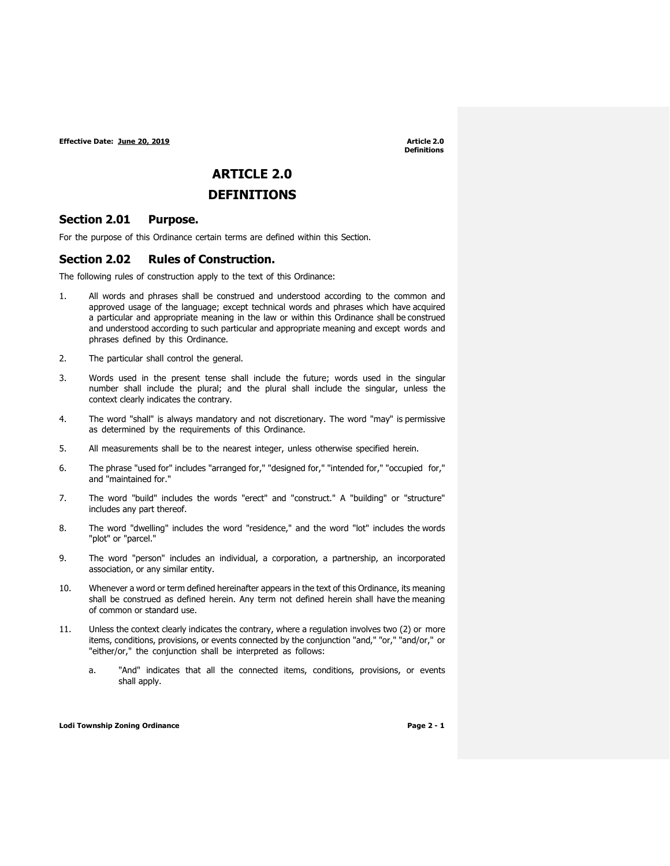**Definitions**

# **ARTICLE 2.0**

## **DEFINITIONS**

### **Section 2.01 Purpose.**

For the purpose of this Ordinance certain terms are defined within this Section.

### **Section 2.02 Rules of Construction.**

The following rules of construction apply to the text of this Ordinance:

- 1. All words and phrases shall be construed and understood according to the common and approved usage of the language; except technical words and phrases which have acquired a particular and appropriate meaning in the law or within this Ordinance shall be construed and understood according to such particular and appropriate meaning and except words and phrases defined by this Ordinance.
- 2. The particular shall control the general.
- 3. Words used in the present tense shall include the future; words used in the singular number shall include the plural; and the plural shall include the singular, unless the context clearly indicates the contrary.
- 4. The word "shall" is always mandatory and not discretionary. The word "may" is permissive as determined by the requirements of this Ordinance.
- 5. All measurements shall be to the nearest integer, unless otherwise specified herein.
- 6. The phrase "used for" includes "arranged for," "designed for," "intended for," "occupied for," and "maintained for."
- 7. The word "build" includes the words "erect" and "construct." A "building" or "structure" includes any part thereof.
- 8. The word "dwelling" includes the word "residence," and the word "lot" includes the words "plot" or "parcel."
- 9. The word "person" includes an individual, a corporation, a partnership, an incorporated association, or any similar entity.
- 10. Whenever a word or term defined hereinafter appears in the text of this Ordinance, its meaning shall be construed as defined herein. Any term not defined herein shall have the meaning of common or standard use.
- 11. Unless the context clearly indicates the contrary, where a regulation involves two (2) or more items, conditions, provisions, or events connected by the conjunction "and," "or," "and/or," or "either/or," the conjunction shall be interpreted as follows:
	- a. "And" indicates that all the connected items, conditions, provisions, or events shall apply.

**Lodi** Township Zoning Ordinance **Page 2 - 1 Page 2 - 1**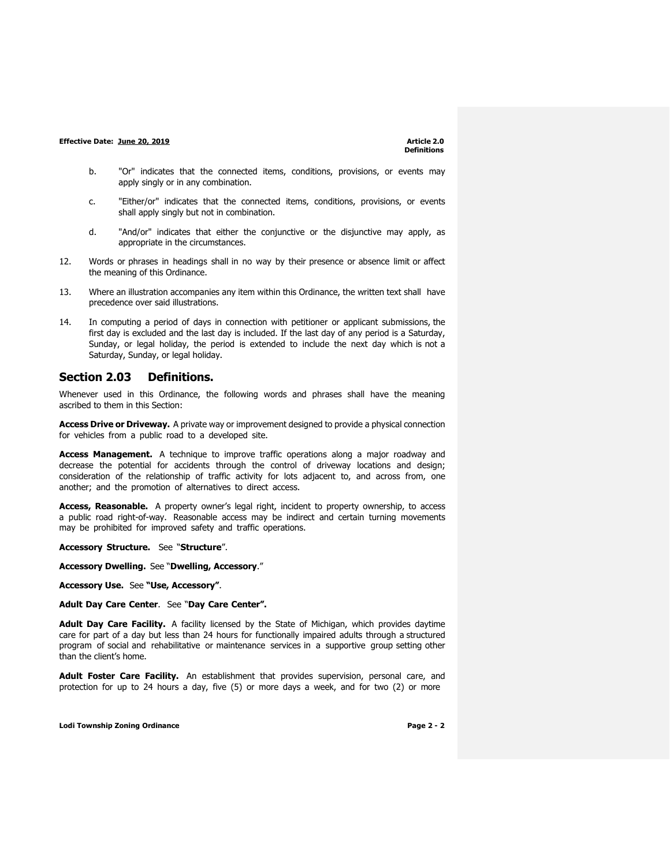- b. "Or" indicates that the connected items, conditions, provisions, or events may apply singly or in any combination.
- c. "Either/or" indicates that the connected items, conditions, provisions, or events shall apply singly but not in combination.
- d. "And/or" indicates that either the conjunctive or the disjunctive may apply, as appropriate in the circumstances.
- 12. Words or phrases in headings shall in no way by their presence or absence limit or affect the meaning of this Ordinance.
- 13. Where an illustration accompanies any item within this Ordinance, the written text shall have precedence over said illustrations.
- 14. In computing a period of days in connection with petitioner or applicant submissions, the first day is excluded and the last day is included. If the last day of any period is a Saturday, Sunday, or legal holiday, the period is extended to include the next day which is not a Saturday, Sunday, or legal holiday.

### **Section 2.03 Definitions.**

Whenever used in this Ordinance, the following words and phrases shall have the meaning ascribed to them in this Section:

**Access Drive or Driveway.** A private way or improvement designed to provide a physical connection for vehicles from a public road to a developed site.

**Access Management.** A technique to improve traffic operations along a major roadway and decrease the potential for accidents through the control of driveway locations and design; consideration of the relationship of traffic activity for lots adjacent to, and across from, one another; and the promotion of alternatives to direct access.

**Access, Reasonable.** A property owner's legal right, incident to property ownership, to access a public road right-of-way. Reasonable access may be indirect and certain turning movements may be prohibited for improved safety and traffic operations.

**Accessory Structure.** See "**Structure**".

**Accessory Dwelling.** See "**Dwelling, Accessory**."

**Accessory Use.** See **"Use, Accessory"**.

**Adult Day Care Center**. See "**Day Care Center".**

**Adult Day Care Facility.** A facility licensed by the State of Michigan, which provides daytime care for part of a day but less than 24 hours for functionally impaired adults through a structured program of social and rehabilitative or maintenance services in a supportive group setting other than the client's home.

**Adult Foster Care Facility.** An establishment that provides supervision, personal care, and protection for up to 24 hours a day, five (5) or more days a week, and for two (2) or more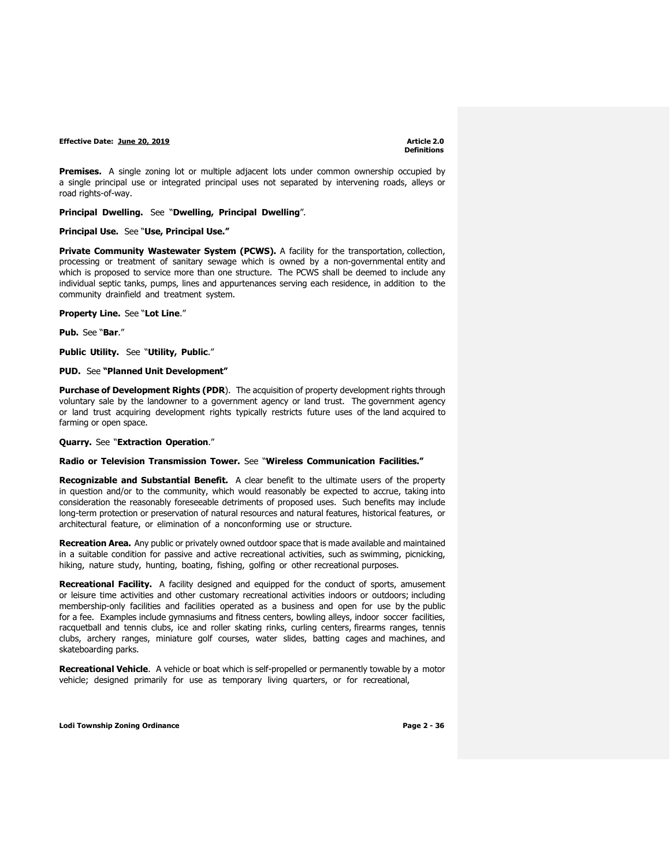**Premises.** A single zoning lot or multiple adjacent lots under common ownership occupied by a single principal use or integrated principal uses not separated by intervening roads, alleys or road rights-of-way.

**Principal Dwelling.** See "**Dwelling, Principal Dwelling**".

**Principal Use.** See "**Use, Principal Use."**

**Private Community Wastewater System (PCWS).** A facility for the transportation, collection, processing or treatment of sanitary sewage which is owned by a non-governmental entity and which is proposed to service more than one structure. The PCWS shall be deemed to include any individual septic tanks, pumps, lines and appurtenances serving each residence, in addition to the community drainfield and treatment system.

**Property Line.** See "**Lot Line**."

**Pub.** See "**Bar**."

**Public Utility.** See "**Utility, Public**."

**PUD.** See **"Planned Unit Development"**

**Purchase of Development Rights (PDR**). The acquisition of property development rights through voluntary sale by the landowner to a government agency or land trust. The government agency or land trust acquiring development rights typically restricts future uses of the land acquired to farming or open space.

**Quarry.** See "**Extraction Operation**."

#### **Radio or Television Transmission Tower.** See "**Wireless Communication Facilities."**

**Recognizable and Substantial Benefit.** A clear benefit to the ultimate users of the property in question and/or to the community, which would reasonably be expected to accrue, taking into consideration the reasonably foreseeable detriments of proposed uses. Such benefits may include long-term protection or preservation of natural resources and natural features, historical features, or architectural feature, or elimination of a nonconforming use or structure.

**Recreation Area.** Any public or privately owned outdoor space that is made available and maintained in a suitable condition for passive and active recreational activities, such as swimming, picnicking, hiking, nature study, hunting, boating, fishing, golfing or other recreational purposes.

**Recreational Facility.** A facility designed and equipped for the conduct of sports, amusement or leisure time activities and other customary recreational activities indoors or outdoors; including membership-only facilities and facilities operated as a business and open for use by the public for a fee. Examples include gymnasiums and fitness centers, bowling alleys, indoor soccer facilities, racquetball and tennis clubs, ice and roller skating rinks, curling centers, firearms ranges, tennis clubs, archery ranges, miniature golf courses, water slides, batting cages and machines, and skateboarding parks.

**Recreational Vehicle**. A vehicle or boat which is self-propelled or permanently towable by a motor vehicle; designed primarily for use as temporary living quarters, or for recreational,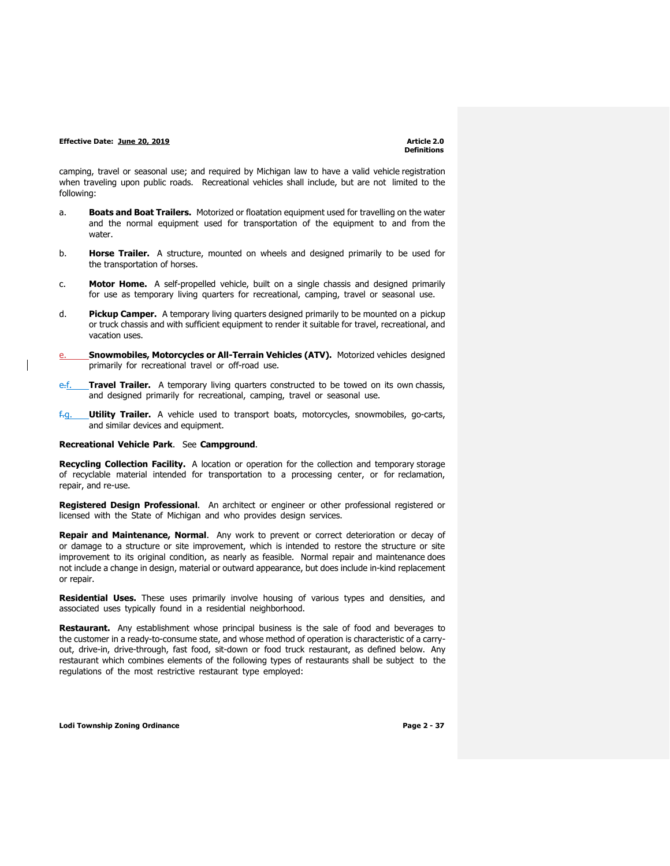camping, travel or seasonal use; and required by Michigan law to have a valid vehicle registration when traveling upon public roads. Recreational vehicles shall include, but are not limited to the following:

- a. **Boats and Boat Trailers.** Motorized or floatation equipment used for travelling on the water and the normal equipment used for transportation of the equipment to and from the water
- b. **Horse Trailer.** A structure, mounted on wheels and designed primarily to be used for the transportation of horses.
- c. **Motor Home.** A self-propelled vehicle, built on a single chassis and designed primarily for use as temporary living quarters for recreational, camping, travel or seasonal use.
- d. **Pickup Camper.** A temporary living quarters designed primarily to be mounted on a pickup or truck chassis and with sufficient equipment to render it suitable for travel, recreational, and vacation uses.
- **Snowmobiles, Motorcycles or All-Terrain Vehicles (ATV).** Motorized vehicles designed primarily for recreational travel or off-road use.
- e.f. **Travel Trailer.** A temporary living quarters constructed to be towed on its own chassis, and designed primarily for recreational, camping, travel or seasonal use.
- f.g. **Utility Trailer.** A vehicle used to transport boats, motorcycles, snowmobiles, go-carts, and similar devices and equipment.

#### **Recreational Vehicle Park**. See **Campground**.

**Recycling Collection Facility.** A location or operation for the collection and temporary storage of recyclable material intended for transportation to a processing center, or for reclamation, repair, and re-use.

**Registered Design Professional**. An architect or engineer or other professional registered or licensed with the State of Michigan and who provides design services.

**Repair and Maintenance, Normal**. Any work to prevent or correct deterioration or decay of or damage to a structure or site improvement, which is intended to restore the structure or site improvement to its original condition, as nearly as feasible. Normal repair and maintenance does not include a change in design, material or outward appearance, but does include in-kind replacement or repair.

**Residential Uses.** These uses primarily involve housing of various types and densities, and associated uses typically found in a residential neighborhood.

**Restaurant.** Any establishment whose principal business is the sale of food and beverages to the customer in a ready-to-consume state, and whose method of operation is characteristic of a carryout, drive-in, drive-through, fast food, sit-down or food truck restaurant, as defined below. Any restaurant which combines elements of the following types of restaurants shall be subject to the regulations of the most restrictive restaurant type employed: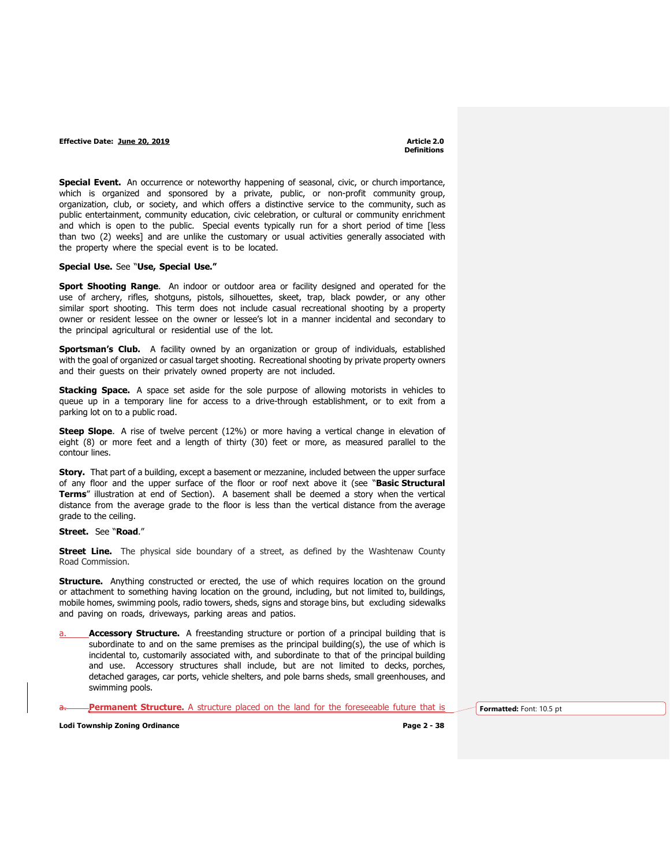**Special Event.** An occurrence or noteworthy happening of seasonal, civic, or church importance, which is organized and sponsored by a private, public, or non-profit community group, organization, club, or society, and which offers a distinctive service to the community, such as public entertainment, community education, civic celebration, or cultural or community enrichment and which is open to the public. Special events typically run for a short period of time [less than two (2) weeks] and are unlike the customary or usual activities generally associated with the property where the special event is to be located.

#### **Special Use.** See "**Use, Special Use."**

**Sport Shooting Range**. An indoor or outdoor area or facility designed and operated for the use of archery, rifles, shotguns, pistols, silhouettes, skeet, trap, black powder, or any other similar sport shooting. This term does not include casual recreational shooting by a property owner or resident lessee on the owner or lessee's lot in a manner incidental and secondary to the principal agricultural or residential use of the lot.

**Sportsman's Club.** A facility owned by an organization or group of individuals, established with the goal of organized or casual target shooting. Recreational shooting by private property owners and their guests on their privately owned property are not included.

**Stacking Space.** A space set aside for the sole purpose of allowing motorists in vehicles to queue up in a temporary line for access to a drive-through establishment, or to exit from a parking lot on to a public road.

**Steep Slope**. A rise of twelve percent (12%) or more having a vertical change in elevation of eight (8) or more feet and a length of thirty (30) feet or more, as measured parallel to the contour lines.

**Story.** That part of a building, except a basement or mezzanine, included between the upper surface of any floor and the upper surface of the floor or roof next above it (see "**Basic Structural Terms**" illustration at end of Section). A basement shall be deemed a story when the vertical distance from the average grade to the floor is less than the vertical distance from the average grade to the ceiling.

#### **Street.** See "**Road**."

**Street Line.** The physical side boundary of a street, as defined by the Washtenaw County Road Commission.

**Structure.** Anything constructed or erected, the use of which requires location on the ground or attachment to something having location on the ground, including, but not limited to, buildings, mobile homes, swimming pools, radio towers, sheds, signs and storage bins, but excluding sidewalks and paving on roads, driveways, parking areas and patios.

**Accessory Structure.** A freestanding structure or portion of a principal building that is subordinate to and on the same premises as the principal building(s), the use of which is incidental to, customarily associated with, and subordinate to that of the principal building and use. Accessory structures shall include, but are not limited to decks, porches, detached garages, car ports, vehicle shelters, and pole barns sheds, small greenhouses, and swimming pools.

**Permanent Structure.** A structure placed on the land for the foreseeable future that is **Formatted:** Font: 10.5 pt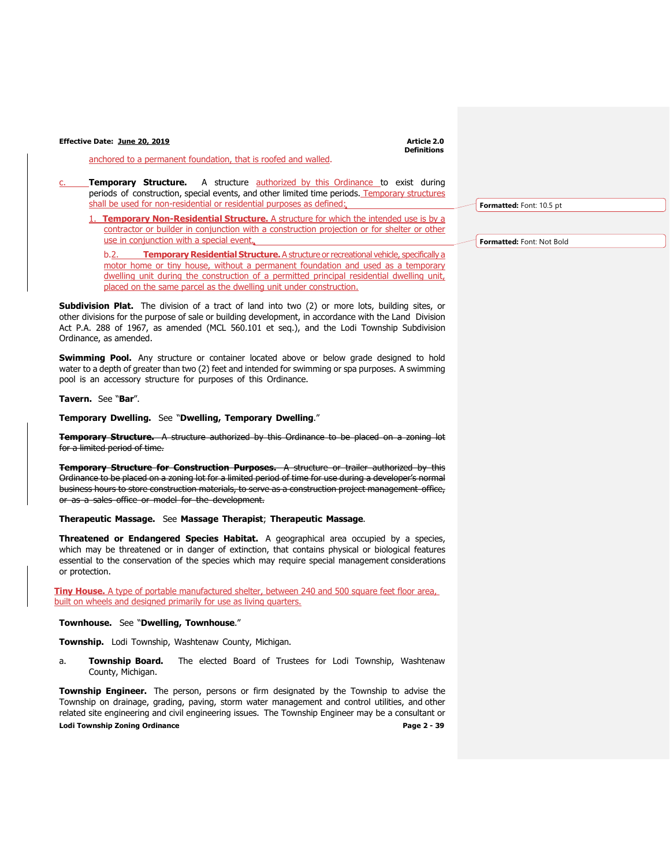**Definitions**

anchored to a permanent foundation, that is roofed and walled.

c. **Temporary Structure.** A structure authorized by this Ordinance to exist during periods of construction, special events, and other limited time periods. Temporary structures shall be used for non-residential or residential purposes as defined:

**Temporary Non-Residential Structure.** A structure for which the intended use is by a contractor or builder in conjunction with a construction projection or for shelter or other use in conjunction with a special event.

b.2. **Temporary Residential Structure.** A structure or recreational vehicle, specifically a motor home or tiny house, without a permanent foundation and used as a temporary dwelling unit during the construction of a permitted principal residential dwelling unit, placed on the same parcel as the dwelling unit under construction.

**Subdivision Plat.** The division of a tract of land into two (2) or more lots, building sites, or other divisions for the purpose of sale or building development, in accordance with the Land Division Act P.A. 288 of 1967, as amended (MCL 560.101 et seq.), and the Lodi Township Subdivision Ordinance, as amended.

**Swimming Pool.** Any structure or container located above or below grade designed to hold water to a depth of greater than two (2) feet and intended for swimming or spa purposes. A swimming pool is an accessory structure for purposes of this Ordinance.

### **Tavern.** See "**Bar**".

**Temporary Dwelling.** See "**Dwelling, Temporary Dwelling**."

**Temporary Structure.** A structure authorized by this Ordinance to be placed on a zoning lot for a limited period of time.

**Temporary Structure for Construction Purposes.** A structure or trailer authorized by this Ordinance to be placed on a zoning lot for a limited period of time for use during a developer's normal business hours to store construction materials, to serve as a construction project management office, or as a sales office or model for the development.

#### **Therapeutic Massage.** See **Massage Therapist**; **Therapeutic Massage**.

**Threatened or Endangered Species Habitat.** A geographical area occupied by a species, which may be threatened or in danger of extinction, that contains physical or biological features essential to the conservation of the species which may require special management considerations or protection.

**Tiny House.** A type of portable manufactured shelter, between 240 and 500 square feet floor area, built on wheels and designed primarily for use as living quarters.

#### **Townhouse.** See "**Dwelling, Townhouse**."

**Township.** Lodi Township, Washtenaw County, Michigan.

a. **Township Board.** The elected Board of Trustees for Lodi Township, Washtenaw County, Michigan.

**Lodi Township Zoning Ordinance Page 2 - 39 Township Engineer.** The person, persons or firm designated by the Township to advise the Township on drainage, grading, paving, storm water management and control utilities, and other related site engineering and civil engineering issues. The Township Engineer may be a consultant or

**Formatted:** Font: 10.5 pt

**Formatted:** Font: Not Bold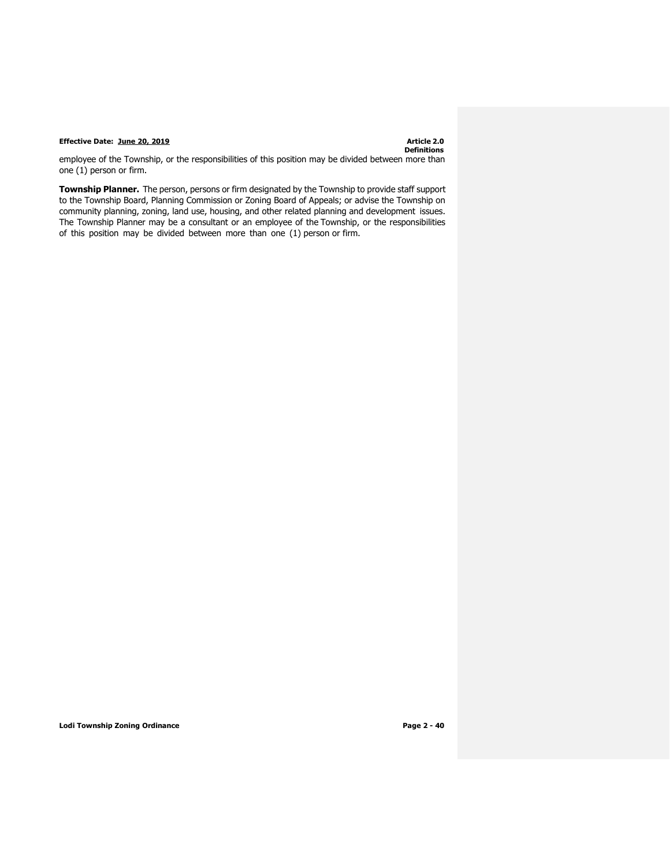# **Definitions**

employee of the Township, or the responsibilities of this position may be divided between more than one (1) person or firm.

**Township Planner.** The person, persons or firm designated by the Township to provide staff support to the Township Board, Planning Commission or Zoning Board of Appeals; or advise the Township on community planning, zoning, land use, housing, and other related planning and development issues. The Township Planner may be a consultant or an employee of the Township, or the responsibilities of this position may be divided between more than one (1) person or firm.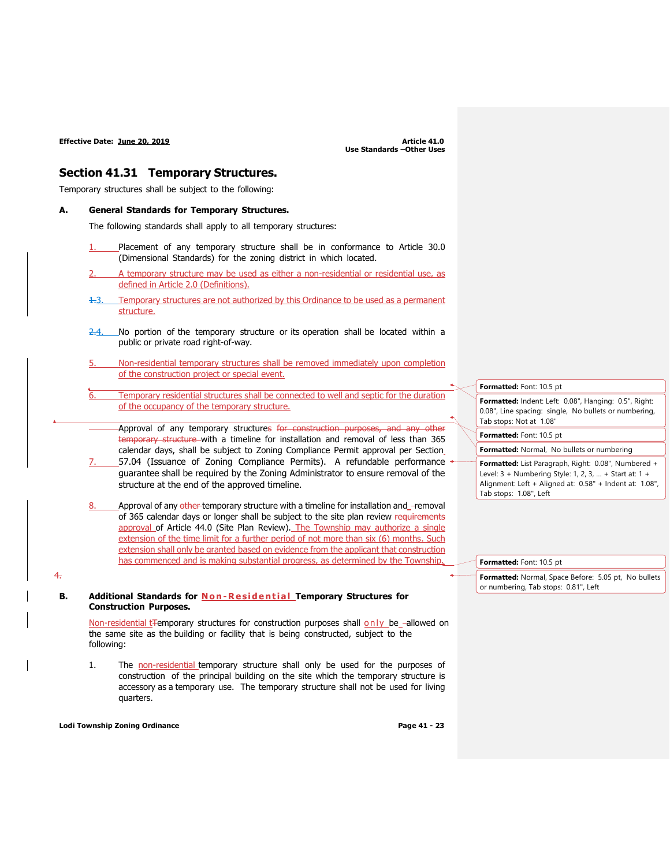### **Section 41.31 Temporary Structures.**

Temporary structures shall be subject to the following:

#### **A. General Standards for Temporary Structures.**

The following standards shall apply to all temporary structures:

- Placement of any temporary structure shall be in conformance to Article 30.0 (Dimensional Standards) for the zoning district in which located.
- 2. A temporary structure may be used as either a non-residential or residential use, as defined in Article 2.0 (Definitions).
- 1.3. Temporary structures are not authorized by this Ordinance to be used as a permanent structure.
- $2.4$ . No portion of the temporary structure or its operation shall be located within a public or private road right-of-way.
- 5. Non-residential temporary structures shall be removed immediately upon completion of the construction project or special event.
- Temporary residential structures shall be connected to well and septic for the duration of the occupancy of the temporary structure.
	- Approval of any temporary structures for construction purposes, and any other temporary structure with a timeline for installation and removal of less than 365 calendar days, shall be subject to Zoning Compliance Permit approval per Section
- 7. 57.04 (Issuance of Zoning Compliance Permits). A refundable performance guarantee shall be required by the Zoning Administrator to ensure removal of the structure at the end of the approved timeline.
- Approval of any other temporary structure with a timeline for installation and -removal of 365 calendar days or longer shall be subject to the site plan review requirements approval of Article 44.0 (Site Plan Review). The Township may authorize a single extension of the time limit for a further period of not more than six (6) months. Such extension shall only be granted based on evidence from the applicant that construction has commenced and is making substantial progress, as determined by the Township.
- **B. Additional Standards for N o n - R esi d e nt i a l Temporary Structures for Construction Purposes.**

Non-residential t<del>Te</del>mporary structures for construction purposes shall only be -allowed on the same site as the building or facility that is being constructed, subject to the following:

1. The non-residential temporary structure shall only be used for the purposes of construction of the principal building on the site which the temporary structure is accessory as a temporary use. The temporary structure shall not be used for living quarters.

**Lodi Township Zoning Ordinance Page 41 - 23**

4.

**Formatted:** Font: 10.5 pt **Formatted:** Indent: Left: 0.08", Hanging: 0.5", Right: 0.08", Line spacing: single, No bullets or numbering, Tab stops: Not at 1.08" **Formatted:** Font: 10.5 pt **Formatted:** Normal, No bullets or numbering **Formatted:** List Paragraph, Right: 0.08", Numbered +

Level: 3 + Numbering Style: 1, 2, 3, … + Start at: 1 + Alignment: Left + Aligned at: 0.58" + Indent at: 1.08", Tab stops: 1.08", Left

| Formatted: Font: 10.5 pt                             |  |
|------------------------------------------------------|--|
| Formatted: Normal, Space Before: 5.05 pt, No bullets |  |
| or numbering, Tab stops: 0.81", Left                 |  |